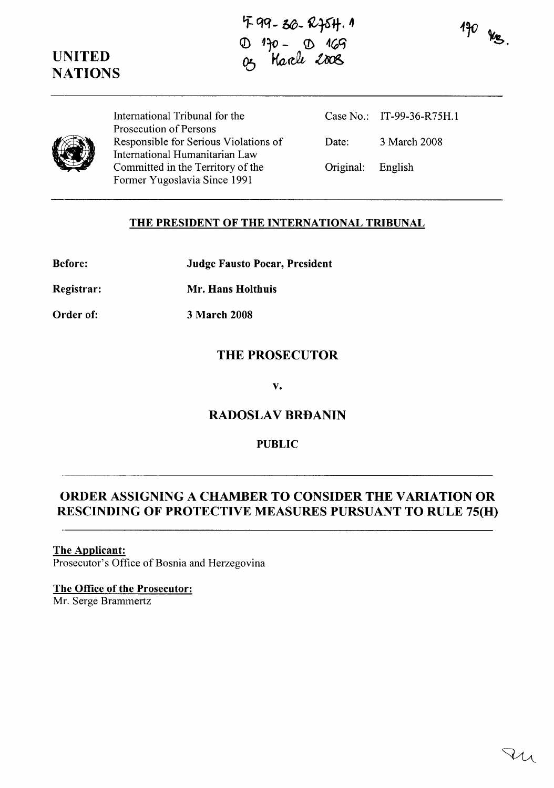**i: qq- 0\$- ¥ij-.** "  $130 - 0.169$ 05 Harle 2008



 $470$  kg



International Tribunal for the Prosecution of Persons Responsible for Serious Violations of International Humanitarian Law Committed in the Territory of the Former Yugoslavia Since 1991

Case No.: IT-99-36-R75H.1 Date: 3 March 2008 Original: English

## **THE PRESIDENT OF THE INTERNATIONAL TRIBUNAL**

| <b>Judge Fausto Pocar, President</b> |
|--------------------------------------|
|                                      |

**Registrar: Mr. Hans Holthuis**

**Order of:** 3 **March 2008**

# **THE PROSECUTOR**

**v.**

# **RADOSLAV BRDANIN**

## **PUBLIC**

# **ORDER ASSIGNING A CHAMBER TO CONSIDER THE VARIATION OR RESCINDING OF PROTECTIVE MEASURES PURSUANT TO RULE 75(H)**

## **The Applicant:**

Prosecutor's Office of Bosnia and Herzegovina

### **The Office of the Prosecutor:**

Mr. Serge Brammertz